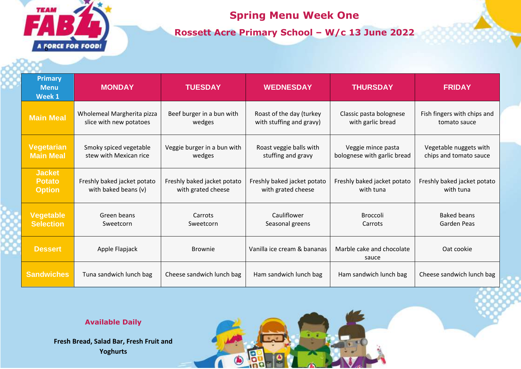

## **Spring Menu Week One**

**Rossett Acre Primary School – W/c 13 June 2022**

| <b>Primary</b><br><b>Menu</b><br>Week 1         | <b>MONDAY</b>                                         | <b>TUESDAY</b>                                    | <b>WEDNESDAY</b>                                     | <b>THURSDAY</b>                                   | <b>FRIDAY</b>                                    |
|-------------------------------------------------|-------------------------------------------------------|---------------------------------------------------|------------------------------------------------------|---------------------------------------------------|--------------------------------------------------|
| <b>Main Meal</b>                                | Wholemeal Margherita pizza<br>slice with new potatoes | Beef burger in a bun with<br>wedges               | Roast of the day (turkey<br>with stuffing and gravy) | Classic pasta bolognese<br>with garlic bread      | Fish fingers with chips and<br>tomato sauce      |
| <b>Vegetarian</b><br><b>Main Meal</b>           | Smoky spiced vegetable<br>stew with Mexican rice      | Veggie burger in a bun with<br>wedges             | Roast veggie balls with<br>stuffing and gravy        | Veggie mince pasta<br>bolognese with garlic bread | Vegetable nuggets with<br>chips and tomato sauce |
| <b>Jacket</b><br><b>Potato</b><br><b>Option</b> | Freshly baked jacket potato<br>with baked beans (v)   | Freshly baked jacket potato<br>with grated cheese | Freshly baked jacket potato<br>with grated cheese    | Freshly baked jacket potato<br>with tuna          | Freshly baked jacket potato<br>with tuna         |
| Vegetable<br><b>Selection</b>                   | Green beans<br>Sweetcorn                              | Carrots<br>Sweetcorn                              | Cauliflower<br>Seasonal greens                       | <b>Broccoli</b><br>Carrots                        | <b>Baked beans</b><br>Garden Peas                |
| <b>Dessert</b>                                  | Apple Flapjack                                        | <b>Brownie</b>                                    | Vanilla ice cream & bananas                          | Marble cake and chocolate<br>sauce                | Oat cookie                                       |
| <b>Sandwiches</b>                               | Tuna sandwich lunch bag                               | Cheese sandwich lunch bag                         | Ham sandwich lunch bag                               | Ham sandwich lunch bag                            | Cheese sandwich lunch bag                        |

**Available Daily**

**Fresh Bread, Salad Bar, Fresh Fruit and Yoghurts**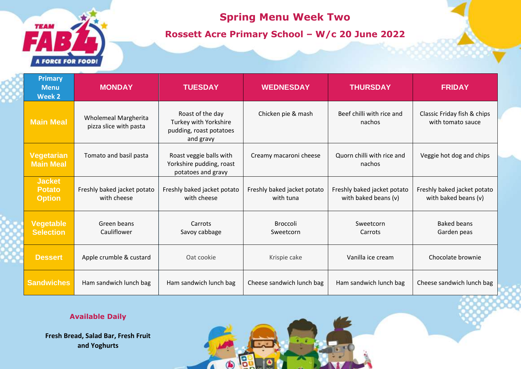# **TEAM** A FORCE FOR FOOD!

### **Spring Menu Week Two**

**Rossett Acre Primary School – W/c 20 June 2022**

| <b>Primary</b><br><b>Menu</b><br><b>Week 2</b>  | <b>MONDAY</b>                                         | <b>TUESDAY</b>                                                                    | <b>WEDNESDAY</b>                         | <b>THURSDAY</b>                                     | <b>FRIDAY</b>                                       |
|-------------------------------------------------|-------------------------------------------------------|-----------------------------------------------------------------------------------|------------------------------------------|-----------------------------------------------------|-----------------------------------------------------|
| <b>Main Meal</b>                                | <b>Wholemeal Margherita</b><br>pizza slice with pasta | Roast of the day<br>Turkey with Yorkshire<br>pudding, roast potatoes<br>and gravy | Chicken pie & mash                       | Beef chilli with rice and<br>nachos                 | Classic Friday fish & chips<br>with tomato sauce    |
| <b>Vegetarian</b><br><b>Main Meal</b>           | Tomato and basil pasta                                | Roast veggie balls with<br>Yorkshire pudding, roast<br>potatoes and gravy         | Creamy macaroni cheese                   | Quorn chilli with rice and<br>nachos                | Veggie hot dog and chips                            |
| <b>Jacket</b><br><b>Potato</b><br><b>Option</b> | Freshly baked jacket potato<br>with cheese            | Freshly baked jacket potato<br>with cheese                                        | Freshly baked jacket potato<br>with tuna | Freshly baked jacket potato<br>with baked beans (v) | Freshly baked jacket potato<br>with baked beans (v) |
| Vegetable<br><b>Selection</b>                   | Green beans<br>Cauliflower                            | Carrots<br>Savoy cabbage                                                          | <b>Broccoli</b><br>Sweetcorn             | Sweetcorn<br>Carrots                                | <b>Baked beans</b><br>Garden peas                   |
| <b>Dessert</b>                                  | Apple crumble & custard                               | Oat cookie                                                                        | Krispie cake                             | Vanilla ice cream                                   | Chocolate brownie                                   |
| <b>Sandwiches</b>                               | Ham sandwich lunch bag                                | Ham sandwich lunch bag                                                            | Cheese sandwich lunch bag                | Ham sandwich lunch bag                              | Cheese sandwich lunch bag                           |

19

 $\bigcirc$ 

 $\sqrt{ }$ 

#### **Available Daily**

**Fresh Bread, Salad Bar, Fresh Fruit and Yoghurts**